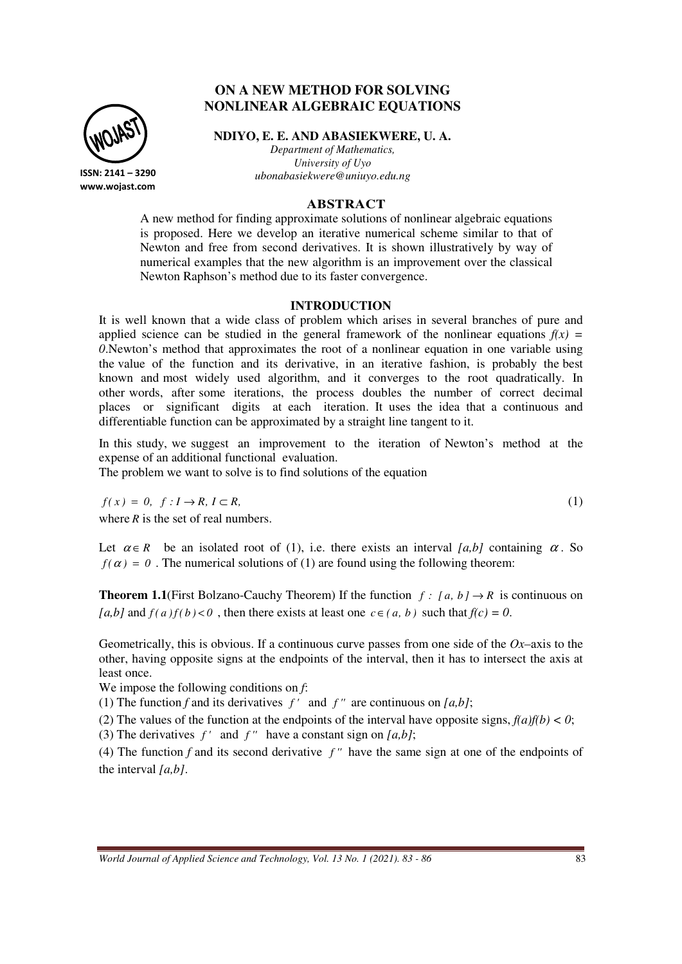# **ON A NEW METHOD FOR SOLVING NONLINEAR ALGEBRAIC EQUATIONS**

**NDIYO, E. E. AND ABASIEKWERE, U. A.**

*Department of Mathematics, University of Uyo ubonabasiekwere@uniuyo.edu.ng*

## **ABSTRACT**

A new method for finding approximate solutions of nonlinear algebraic equations is proposed. Here we develop an iterative numerical scheme similar to that of Newton and free from second derivatives. It is shown illustratively by way of numerical examples that the new algorithm is an improvement over the classical Newton Raphson's method due to its faster convergence.

#### **INTRODUCTION**

It is well known that a wide class of problem which arises in several branches of pure and applied science can be studied in the general framework of the nonlinear equations  $f(x) =$ *0*.Newton's method that approximates the root of a nonlinear equation in one variable using the value of the function and its derivative, in an iterative fashion, is probably the best known and most widely used algorithm, and it converges to the root quadratically. In other words, after some iterations, the process doubles the number of correct decimal places or significant digits at each iteration. It uses the idea that a continuous and differentiable function can be approximated by a straight line tangent to it.

In this study, we suggest an improvement to the iteration of Newton's method at the expense of an additional functional evaluation.

The problem we want to solve is to find solutions of the equation

 $f(x) = 0, \quad f: I \to R, I \subset R,$  (1)

where *R* is the set of real numbers.

Let  $\alpha \in R$  be an isolated root of (1), i.e. there exists an interval *[a,b]* containing  $\alpha$ . So  $f(\alpha) = 0$ . The numerical solutions of (1) are found using the following theorem:

**Theorem 1.1**(First Bolzano-Cauchy Theorem) If the function  $f : [a, b] \rightarrow R$  is continuous on  $[a,b]$  and  $f(a)f(b) < 0$ , then there exists at least one  $c \in (a, b)$  such that  $f(c) = 0$ .

Geometrically, this is obvious. If a continuous curve passes from one side of the *Ox–*axis to the other, having opposite signs at the endpoints of the interval, then it has to intersect the axis at least once.

We impose the following conditions on *f*:

(1) The function *f* and its derivatives  $f'$  and  $f''$  are continuous on  $[a,b]$ ;

(2) The values of the function at the endpoints of the interval have opposite signs,  $f(a)f(b) < 0$ ;

(3) The derivatives *f '* and *f ''* have a constant sign on *[a,b]*;

(4) The function *f* and its second derivative *f ''* have the same sign at one of the endpoints of the interval *[a,b]*.

*World Journal of Applied Science and Technology, Vol. 13 No. 1 (2021). 83 - 86* 83



**www.wojast.com**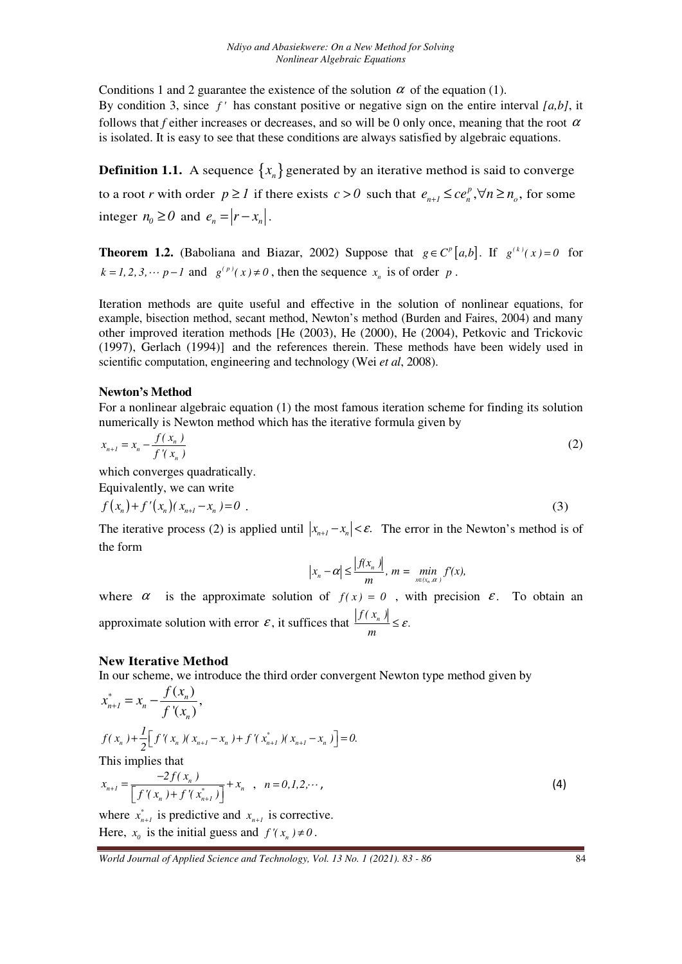Conditions 1 and 2 guarantee the existence of the solution  $\alpha$  of the equation (1). By condition 3, since *f '* has constant positive or negative sign on the entire interval *[a,b]*, it follows that *f* either increases or decreases, and so will be 0 only once, meaning that the root  $\alpha$ is isolated. It is easy to see that these conditions are always satisfied by algebraic equations.

**Definition 1.1.** A sequence  $\{x_n\}$  generated by an iterative method is said to converge to a root *r* with order  $p \ge 1$  if there exists  $c > 0$  such that  $e_{n+1} \le ce_n^p, \forall n \ge n_o$ , for some integer  $n_0 \ge 0$  and  $e_n = |r - x_n|$ .

**Theorem 1.2.** (Baboliana and Biazar, 2002) Suppose that  $g \in C^p[a,b]$ . If  $g^{(k)}(x) = 0$  for  $k = 1, 2, 3, \dots, p-1$  and  $g^{(p)}(x) \neq 0$ , then the sequence  $x_n$  is of order  $p$ .

Iteration methods are quite useful and effective in the solution of nonlinear equations, for example, bisection method, secant method, Newton's method (Burden and Faires, 2004) and many other improved iteration methods [He (2003), He (2000), He (2004), Petkovic and Trickovic (1997), Gerlach (1994)] and the references therein. These methods have been widely used in scientific computation, engineering and technology (Wei *et al*, 2008).

## **Newton's Method**

For a nonlinear algebraic equation (1) the most famous iteration scheme for finding its solution numerically is Newton method which has the iterative formula given by

$$
x_{n+1} = x_n - \frac{f(x_n)}{f'(x_n)}
$$
 (2)

which converges quadratically.

Equivalently, we can write

$$
f(x_n) + f'(x_n)(x_{n+1} - x_n) = 0
$$
 (3)

The iterative process (2) is applied until  $|x_{n+1} - x_n| < \varepsilon$ . The error in the Newton's method is of the form

$$
|x_n - \alpha| \le \frac{|f(x_n)|}{m}, \, m = \min_{x \in (x_n, \alpha)} f'(x),
$$

where  $\alpha$  is the approximate solution of  $f(x) = 0$ , with precision  $\varepsilon$ . To obtain an approximate solution with error  $\varepsilon$ , it suffices that  $\frac{|f(x_n)|}{m} \leq \varepsilon$ .  $\leq \varepsilon$ 

## **New Iterative Method**

In our scheme, we introduce the third order convergent Newton type method given by

$$
x_{n+1}^{*} = x_{n} - \frac{f(x_{n})}{f'(x_{n})},
$$
  
\n
$$
f(x_{n}) + \frac{1}{2} \Big[ f'(x_{n}) (x_{n+1} - x_{n}) + f'(x_{n+1}^{*}) (x_{n+1} - x_{n}) \Big] = 0.
$$
  
\nThis implies that  
\n
$$
x_{n+1} = \frac{-2f(x_{n})}{\Big[ f'(x_{n}) + f'(x_{n+1}^{*}) \Big]} + x_{n} , \quad n = 0, 1, 2, \dots,
$$
\n(4)

where  $x_{n+1}^*$  is predictive and  $x_{n+1}$  is corrective. Here,  $x_0$  is the initial guess and  $f'(x_n) \neq 0$ .

*World Journal of Applied Science and Technology, Vol. 13 No. 1 (2021). 83 - 86* 84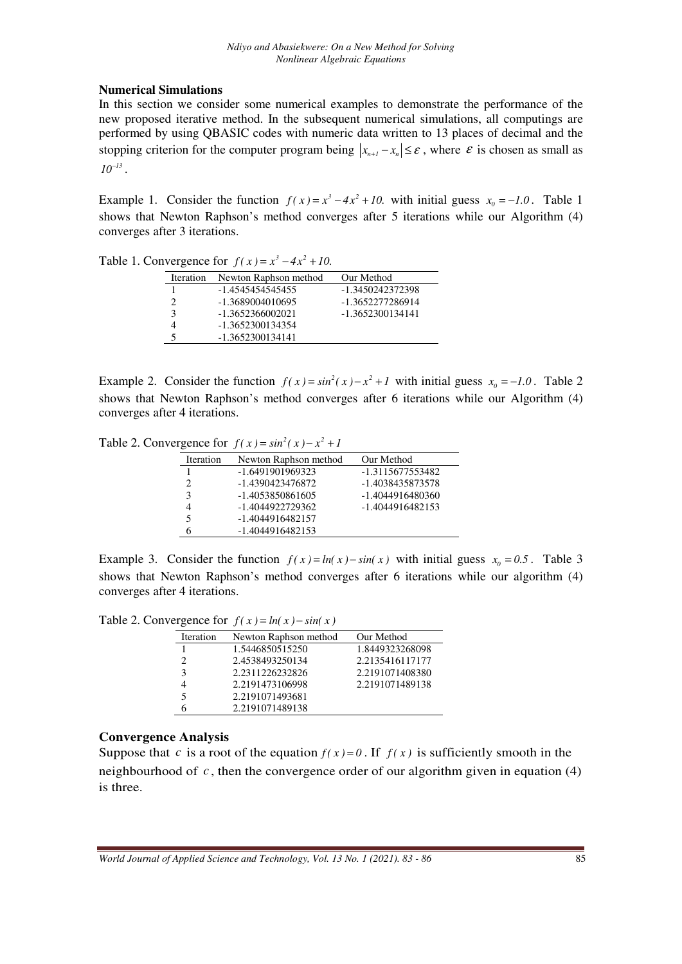# **Numerical Simulations**

In this section we consider some numerical examples to demonstrate the performance of the new proposed iterative method. In the subsequent numerical simulations, all computings are performed by using QBASIC codes with numeric data written to 13 places of decimal and the stopping criterion for the computer program being  $|x_{n+1} - x_n| \leq \varepsilon$ , where  $\varepsilon$  is chosen as small as  $10^{-13}$ .

Example 1. Consider the function  $f(x) = x^3 - 4x^2 + 10$ . with initial guess  $x_0 = -1.0$ . Table 1. shows that Newton Raphson's method converges after 5 iterations while our Algorithm (4) converges after 3 iterations.

Table 1. Convergence for  $f(x) = x^3 - 4x^2 + 10$ .

| <b>Iteration</b> | Newton Raphson method | Our Method       |
|------------------|-----------------------|------------------|
|                  | -1.4545454545455      | -1.3450242372398 |
|                  | -1.3689004010695      | -1.3652277286914 |
| 3                | $-1.3652366002021$    | -1.3652300134141 |
|                  | -1.3652300134354      |                  |
|                  | -1.3652300134141      |                  |

Example 2. Consider the function  $f(x) = \sin^2(x) - x^2 + 1$  with initial guess  $x_0 = -1.0$ . Table 2. shows that Newton Raphson's method converges after 6 iterations while our Algorithm (4) converges after 4 iterations.

Table 2. Convergence for  $f(x) = \sin^2(x) - x^2 + 1$ 

| <b>Iteration</b> | Newton Raphson method | Our Method         |
|------------------|-----------------------|--------------------|
| 1                | -1.6491901969323      | -1.3115677553482   |
| 2                | -1.4390423476872      | -1.4038435873578   |
| 3                | -1.4053850861605      | -1.4044916480360   |
|                  | -1.4044922729362      | $-1.4044916482153$ |
| 5                | -1.4044916482157      |                    |
|                  | -1.4044916482153      |                    |

Example 3. Consider the function  $f(x) = ln(x) - sin(x)$  with initial guess  $x_0 = 0.5$ . Table 3 shows that Newton Raphson's method converges after 6 iterations while our algorithm (4) converges after 4 iterations.

Table 2. Convergence for  $f(x) = ln(x) - sin(x)$ 

| Iteration | Newton Raphson method | Our Method      |
|-----------|-----------------------|-----------------|
|           | 1.5446850515250       | 1.8449323268098 |
| 2         | 2.4538493250134       | 2.2135416117177 |
| 3         | 2.2311226232826       | 2.2191071408380 |
| 4         | 2.2191473106998       | 2.2191071489138 |
| 5         | 2.2191071493681       |                 |
| 6         | 2.2191071489138       |                 |

# **Convergence Analysis**

Suppose that *c* is a root of the equation  $f(x)=0$ . If  $f(x)$  is sufficiently smooth in the neighbourhood of  $c$ , then the convergence order of our algorithm given in equation (4) is three.